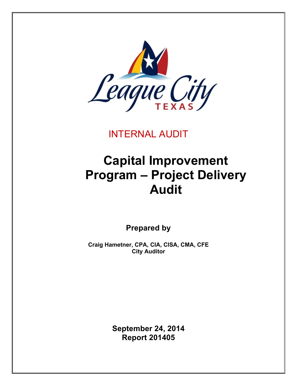

INTERNAL AUDIT

# **Capital Improvement Program – Project Delivery Audit**

**Prepared by**

**Craig Hametner, CPA, CIA, CISA, CMA, CFE City Auditor**

> **September 24, 2014 Report 201405**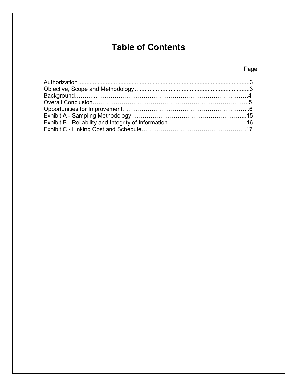# **Table of Contents**

# Page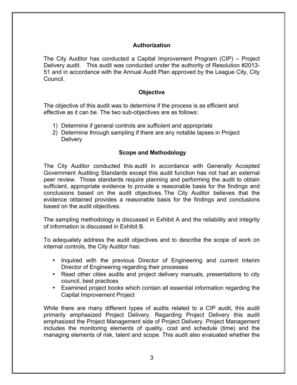# **Authorization**

The City Auditor has conducted a Capital Improvement Program (CIP) – Project Delivery audit. This audit was conducted under the authority of Resolution #2013- 51 and in accordance with the Annual Audit Plan approved by the League City, City Council.

#### **Objective**

The objective of this audit was to determine if the process is as efficient and effective as it can be. The two sub-objectives are as follows:

- 1) Determine if general controls are sufficient and appropriate
- 2) Determine through sampling if there are any notable lapses in Project **Delivery**

#### **Scope and Methodology**

The City Auditor conducted this audit in accordance with Generally Accepted Government Auditing Standards except this audit function has not had an external peer review. Those standards require planning and performing the audit to obtain sufficient, appropriate evidence to provide a reasonable basis for the findings and conclusions based on the audit objectives. The City Auditor believes that the evidence obtained provides a reasonable basis for the findings and conclusions based on the audit objectives.

The sampling methodology is discussed in Exhibit A and the reliability and integrity of information is discussed in Exhibit B.

To adequately address the audit objectives and to describe the scope of work on internal controls, the City Auditor has:

- Inquired with the previous Director of Engineering and current Interim Director of Engineering regarding their processes
- Read other cities audits and project delivery manuals, presentations to city council, best practices
- Examined project books which contain all essential information regarding the Capital Improvement Project

While there are many different types of audits related to a CIP audit, this audit primarily emphasized Project Delivery. Regarding Project Delivery this audit emphasized the Project Management side of Project Delivery. Project Management includes the monitoring elements of quality, cost and schedule (time) and the managing elements of risk, talent and scope. This audit also evaluated whether the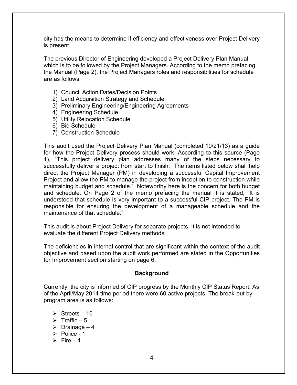city has the means to determine if efficiency and effectiveness over Project Delivery is present.

The previous Director of Engineering developed a Project Delivery Plan Manual which is to be followed by the Project Managers. According to the memo prefacing the Manual (Page 2), the Project Managers roles and responsibilities for schedule are as follows:

- 1) Council Action Dates/Decision Points
- 2) Land Acquisition Strategy and Schedule
- 3) Preliminary Engineering/Engineering Agreements
- 4) Engineering Schedule
- 5) Utility Relocation Schedule
- 6) Bid Schedule
- 7) Construction Schedule

This audit used the Project Delivery Plan Manual (completed 10/21/13) as a guide for how the Project Delivery process should work. According to this source (Page 1), "This project delivery plan addresses many of the steps necessary to successfully deliver a project from start to finish. The items listed below shall help direct the Project Manager (PM) in developing a successful Capital Improvement Project and allow the PM to manage the project from inception to construction while maintaining budget and schedule." Noteworthy here is the concern for both budget and schedule. On Page 2 of the memo prefacing the manual it is stated, "It is understood that schedule is very important to a successful CIP project. The PM is responsible for ensuring the development of a manageable schedule and the maintenance of that schedule."

This audit is about Project Delivery for separate projects. It is not intended to evaluate the different Project Delivery methods.

The deficiencies in internal control that are significant within the context of the audit objective and based upon the audit work performed are stated in the Opportunities for Improvement section starting on page 6.

#### **Background**

Currently, the city is informed of CIP progress by the Monthly CIP Status Report. As of the April/May 2014 time period there were 60 active projects. The break-out by program area is as follows:

- $\triangleright$  Streets 10
- $\triangleright$  Traffic 5
- $\triangleright$  Drainage 4
- $\triangleright$  Police 1
- $\triangleright$  Fire 1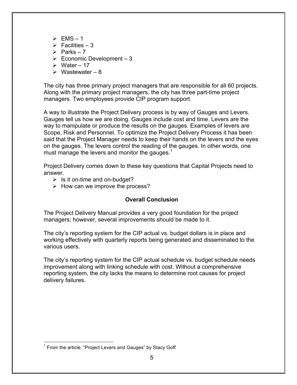- $\triangleright$  FMS 1
- $\triangleright$  Facilities 3
- $\triangleright$  Parks 7
- $\geq$  Economic Development 3
- $\triangleright$  Water 17
- $\triangleright$  Wastewater 8

The city has three primary project managers that are responsible for all 60 projects. Along with the primary project managers, the city has three part-time project managers. Two employees provide CIP program support.

A way to illustrate the Project Delivery process is by way of Gauges and Levers. Gauges tell us how we are doing. Gauges include cost and time. Levers are the way to manipulate or produce the results on the gauges. Examples of levers are Scope, Risk and Personnel. To optimize the Project Delivery Process it has been said that the Project Manager needs to keep their hands on the levers and the eyes on the gauges. The levers control the reading of the gauges. In other words, one must manage the levers and monitor the gauges. $1$ 

Project Delivery comes down to these key questions that Capital Projects need to answer.

- $\triangleright$  Is it on-time and on-budget?
- $\triangleright$  How can we improve the process?

# **Overall Conclusion**

The Project Delivery Manual provides a very good foundation for the project managers; however, several improvements should be made to it.

The city's reporting system for the CIP actual vs. budget dollars is in place and working effectively with quarterly reports being generated and disseminated to the various users.

The city's reporting system for the CIP actual schedule vs. budget schedule needs improvement along with linking schedule with cost. Without a comprehensive reporting system, the city lacks the means to determine root causes for project delivery failures.

 $1$  From the article, "Project Levers and Gauges" by Stacy Goff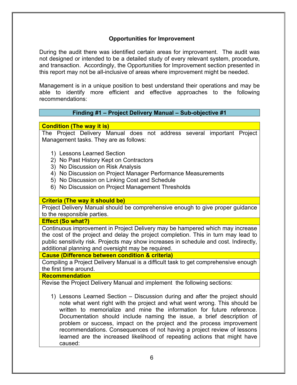# **Opportunities for Improvement**

During the audit there was identified certain areas for improvement. The audit was not designed or intended to be a detailed study of every relevant system, procedure, and transaction. Accordingly, the Opportunities for Improvement section presented in this report may not be all-inclusive of areas where improvement might be needed.

Management is in a unique position to best understand their operations and may be able to identify more efficient and effective approaches to the following recommendations:

#### **Finding #1 – Project Delivery Manual – Sub-objective #1**

**Condition (The way it is)**

The Project Delivery Manual does not address several important Project Management tasks. They are as follows:

- 1) Lessons Learned Section
- 2) No Past History Kept on Contractors
- 3) No Discussion on Risk Analysis
- 4) No Discussion on Project Manager Performance Measurements
- 5) No Discussion on Linking Cost and Schedule
- 6) No Discussion on Project Management Thresholds

#### **Criteria (The way it should be)**

Project Delivery Manual should be comprehensive enough to give proper guidance to the responsible parties.

**Effect (So what?)**

Continuous improvement in Project Delivery may be hampered which may increase the cost of the project and delay the project completion. This in turn may lead to public sensitivity risk. Projects may show increases in schedule and cost. Indirectly, additional planning and oversight may be required.

**Cause (Difference between condition & criteria)**

Compiling a Project Delivery Manual is a difficult task to get comprehensive enough the first time around.

**Recommendation**

Revise the Project Delivery Manual and implement the following sections:

1) Lessons Learned Section – Discussion during and after the project should note what went right with the project and what went wrong. This should be written to memorialize and mine the information for future reference. Documentation should include naming the issue, a brief description of problem or success, impact on the project and the process improvement recommendations. Consequences of not having a project review of lessons learned are the increased likelihood of repeating actions that might have caused: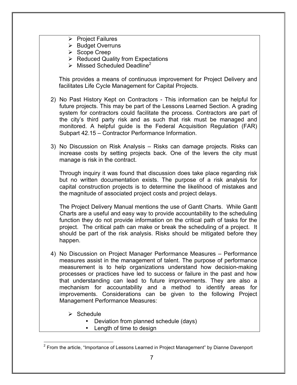- $\triangleright$  Project Failures
- $\triangleright$  Budget Overruns
- ▶ Scope Creep
- $\triangleright$  Reduced Quality from Expectations
- $\triangleright$  Missed Scheduled Deadline<sup>2</sup>

This provides a means of continuous improvement for Project Delivery and facilitates Life Cycle Management for Capital Projects.

- 2) No Past History Kept on Contractors This information can be helpful for future projects. This may be part of the Lessons Learned Section. A grading system for contractors could facilitate the process. Contractors are part of the city's third party risk and as such that risk must be managed and monitored. A helpful guide is the Federal Acquisition Regulation (FAR) Subpart 42.15 – Contractor Performance Information.
- 3) No Discussion on Risk Analysis Risks can damage projects. Risks can increase costs by setting projects back. One of the levers the city must manage is risk in the contract.

Through inquiry it was found that discussion does take place regarding risk but no written documentation exists. The purpose of a risk analysis for capital construction projects is to determine the likelihood of mistakes and the magnitude of associated project costs and project delays.

The Project Delivery Manual mentions the use of Gantt Charts. While Gantt Charts are a useful and easy way to provide accountability to the scheduling function they do not provide information on the critical path of tasks for the project. The critical path can make or break the scheduling of a project. It should be part of the risk analysis. Risks should be mitigated before they happen.

- 4) No Discussion on Project Manager Performance Measures Performance measures assist in the management of talent. The purpose of performance measurement is to help organizations understand how decision-making processes or practices have led to success or failure in the past and how that understanding can lead to future improvements. They are also a mechanism for accountability and a method to identify areas for improvements. Considerations can be given to the following Project Management Performance Measures:
	- $\triangleright$  Schedule
		- Deviation from planned schedule (days)
		- Length of time to design

 $2$  From the article, "Importance of Lessons Learned in Project Management" by Dianne Davenport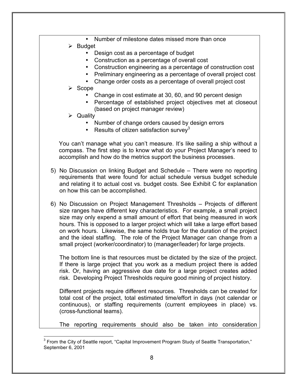- Number of milestone dates missed more than once
- $\triangleright$  Budget
	- Design cost as a percentage of budget
	- Construction as a percentage of overall cost
	- Construction engineering as a percentage of construction cost
	- Preliminary engineering as a percentage of overall project cost
	- Change order costs as a percentage of overall project cost
- $\triangleright$  Scope
	- Change in cost estimate at 30, 60, and 90 percent design
	- Percentage of established project objectives met at closeout (based on project manager review)
- **Quality** 
	- Number of change orders caused by design errors
	- Results of citizen satisfaction survey<sup>3</sup>

You can't manage what you can't measure. It's like sailing a ship without a compass. The first step is to know what do your Project Manager's need to accomplish and how do the metrics support the business processes.

- 5) No Discussion on linking Budget and Schedule There were no reporting requirements that were found for actual schedule versus budget schedule and relating it to actual cost vs. budget costs. See Exhibit C for explanation on how this can be accomplished.
- 6) No Discussion on Project Management Thresholds Projects of different size ranges have different key characteristics. For example, a small project size may only expend a small amount of effort that being measured in work hours. This is opposed to a larger project which will take a large effort based on work hours. Likewise, the same holds true for the duration of the project and the ideal staffing. The role of the Project Manager can change from a small project (worker/coordinator) to (manager/leader) for large projects.

The bottom line is that resources must be dictated by the size of the project. If there is large project that you work as a medium project there is added risk. Or, having an aggressive due date for a large project creates added risk. Developing Project Thresholds require good mining of project history.

Different projects require different resources. Thresholds can be created for total cost of the project, total estimated time/effort in days (not calendar or continuous), or staffing requirements (current employees in place) vs. (cross-functional teams).

The reporting requirements should also be taken into consideration

<sup>&</sup>lt;sup>3</sup> From the City of Seattle report, "Capital Improvement Program Study of Seattle Transportation," September 6, 2001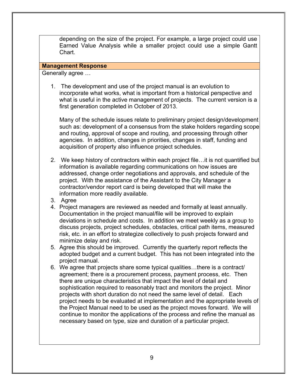depending on the size of the project. For example, a large project could use Earned Value Analysis while a smaller project could use a simple Gantt Chart.

#### **Management Response**

Generally agree …

1. The development and use of the project manual is an evolution to incorporate what works, what is important from a historical perspective and what is useful in the active management of projects. The current version is a first generation completed in October of 2013.

Many of the schedule issues relate to preliminary project design/development such as: development of a consensus from the stake holders regarding scope and routing, approval of scope and routing, and processing through other agencies. In addition, changes in priorities, changes in staff, funding and acquisition of property also influence project schedules.

- 2. We keep history of contractors within each project file…it is not quantified but information is available regarding communications on how issues are addressed, change order negotiations and approvals, and schedule of the project. With the assistance of the Assistant to the City Manager a contractor/vendor report card is being developed that will make the information more readily available.
- 3. Agree
- 4. Project managers are reviewed as needed and formally at least annually. Documentation in the project manual/file will be improved to explain deviations in schedule and costs. In addition we meet weekly as a group to discuss projects, project schedules, obstacles, critical path items, measured risk, etc. in an effort to strategize collectively to push projects forward and minimize delay and risk.
- 5. Agree this should be improved. Currently the quarterly report reflects the adopted budget and a current budget. This has not been integrated into the project manual.
- 6. We agree that projects share some typical qualities…there is a contract/ agreement; there is a procurement process, payment process, etc. Then there are unique characteristics that impact the level of detail and sophistication required to reasonably tract and monitors the project. Minor projects with short duration do not need the same level of detail. Each project needs to be evaluated at implementation and the appropriate levels of the Project Manual need to be used as the project moves forward. We will continue to monitor the applications of the process and refine the manual as necessary based on type, size and duration of a particular project.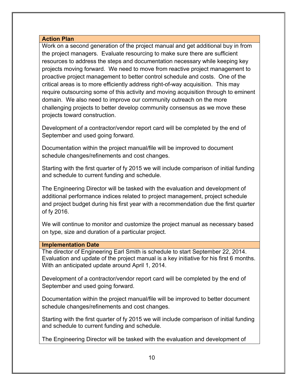#### **Action Plan**

Work on a second generation of the project manual and get additional buy in from the project managers. Evaluate resourcing to make sure there are sufficient resources to address the steps and documentation necessary while keeping key projects moving forward. We need to move from reactive project management to proactive project management to better control schedule and costs. One of the critical areas is to more efficiently address right-of-way acquisition. This may require outsourcing some of this activity and moving acquisition through to eminent domain. We also need to improve our community outreach on the more challenging projects to better develop community consensus as we move these projects toward construction.

Development of a contractor/vendor report card will be completed by the end of September and used going forward.

Documentation within the project manual/file will be improved to document schedule changes/refinements and cost changes.

Starting with the first quarter of fy 2015 we will include comparison of initial funding and schedule to current funding and schedule.

The Engineering Director will be tasked with the evaluation and development of additional performance indices related to project management, project schedule and project budget during his first year with a recommendation due the first quarter of fy 2016.

We will continue to monitor and customize the project manual as necessary based on type, size and duration of a particular project.

#### **Implementation Date**

The director of Engineering Earl Smith is schedule to start September 22, 2014. Evaluation and update of the project manual is a key initiative for his first 6 months. With an anticipated update around April 1, 2014.

Development of a contractor/vendor report card will be completed by the end of September and used going forward.

Documentation within the project manual/file will be improved to better document schedule changes/refinements and cost changes.

Starting with the first quarter of fy 2015 we will include comparison of initial funding and schedule to current funding and schedule.

The Engineering Director will be tasked with the evaluation and development of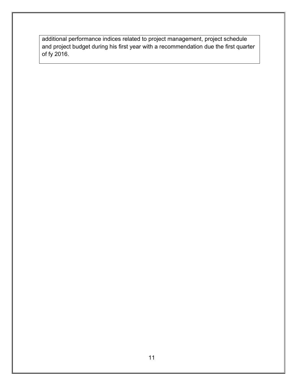additional performance indices related to project management, project schedule and project budget during his first year with a recommendation due the first quarter of fy 2016.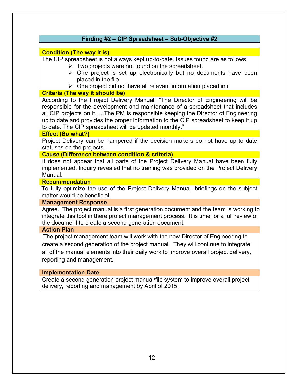|                          | Finding #2 - CIP Spreadsheet - Sub-Objective #2                                                                                                                                                                                                                                                                                                                                                      |
|--------------------------|------------------------------------------------------------------------------------------------------------------------------------------------------------------------------------------------------------------------------------------------------------------------------------------------------------------------------------------------------------------------------------------------------|
|                          | <b>Condition (The way it is)</b>                                                                                                                                                                                                                                                                                                                                                                     |
|                          | The CIP spreadsheet is not always kept up-to-date. Issues found are as follows:<br>$\triangleright$ Two projects were not found on the spreadsheet.<br>$\triangleright$ One project is set up electronically but no documents have been<br>placed in the file                                                                                                                                        |
|                          | $\triangleright$ One project did not have all relevant information placed in it                                                                                                                                                                                                                                                                                                                      |
|                          | <b>Criteria (The way it should be)</b>                                                                                                                                                                                                                                                                                                                                                               |
|                          | According to the Project Delivery Manual, "The Director of Engineering will be<br>responsible for the development and maintenance of a spreadsheet that includes<br>all CIP projects on itThe PM is responsible keeping the Director of Engineering<br>up to date and provides the proper information to the CIP spreadsheet to keep it up<br>to date. The CIP spreadsheet will be updated monthly." |
| <b>Effect (So what?)</b> |                                                                                                                                                                                                                                                                                                                                                                                                      |
|                          | Project Delivery can be hampered if the decision makers do not have up to date<br>statuses on the projects.                                                                                                                                                                                                                                                                                          |
|                          | <b>Cause (Difference between condition &amp; criteria)</b>                                                                                                                                                                                                                                                                                                                                           |
| Manual.                  | It does not appear that all parts of the Project Delivery Manual have been fully<br>implemented. Inquiry revealed that no training was provided on the Project Delivery                                                                                                                                                                                                                              |
|                          | <b>Recommendation</b>                                                                                                                                                                                                                                                                                                                                                                                |
|                          | To fully optimize the use of the Project Delivery Manual, briefings on the subject<br>matter would be beneficial.                                                                                                                                                                                                                                                                                    |
|                          | <b>Management Response</b>                                                                                                                                                                                                                                                                                                                                                                           |
|                          | Agree. The project manual is a first generation document and the team is working to<br>integrate this tool in there project management process. It is time for a full review of<br>the document to create a second generation document.                                                                                                                                                              |
| <b>Action Plan</b>       |                                                                                                                                                                                                                                                                                                                                                                                                      |
|                          | The project management team will work with the new Director of Engineering to                                                                                                                                                                                                                                                                                                                        |
|                          | create a second generation of the project manual. They will continue to integrate                                                                                                                                                                                                                                                                                                                    |
|                          | all of the manual elements into their daily work to improve overall project delivery,                                                                                                                                                                                                                                                                                                                |
|                          | reporting and management.                                                                                                                                                                                                                                                                                                                                                                            |
|                          |                                                                                                                                                                                                                                                                                                                                                                                                      |
|                          | <b>Implementation Date</b>                                                                                                                                                                                                                                                                                                                                                                           |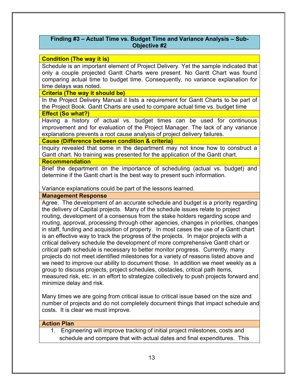# **Finding #3 – Actual Time vs. Budget Time and Variance Analysis – Sub-Objective #2**

#### **Condition (The way it is)**

Schedule is an important element of Project Delivery. Yet the sample indicated that only a couple projected Gantt Charts were present. No Gantt Chart was found comparing actual time to budget time. Consequently, no variance explanation for time delays was noted.

#### **Criteria (The way it should be)**

In the Project Delivery Manual it lists a requirement for Gantt Charts to be part of the Project Book. Gantt Charts are used to compare actual time vs. budget time

#### **Effect (So what?)**

Having a history of actual vs. budget times can be used for continuous improvement and for evaluation of the Project Manager. The lack of any variance explanations prevents a root cause analysis of project delivery failures.

#### **Cause (Difference between condition & criteria)**

Inquiry revealed that some in the department may not know how to construct a Gantt chart. No training was presented for the application of the Gantt chart.

#### **Recommendation**

Brief the department on the importance of scheduling (actual vs. budget) and determine if the Gantt chart is the best way to present such information.

Variance explanations could be part of the lessons learned.

#### **Management Response**

Agree. The development of an accurate schedule and budget is a priority regarding the delivery of Capital projects. Many of the schedule issues relate to project routing, development of a consensus from the stake holders regarding scope and routing, approval, processing through other agencies, changes in priorities, changes in staff, funding and acquisition of property. In most cases the use of a Gantt chart is an effective way to track the progress of the projects. In major projects with a critical delivery schedule the development of more comprehensive Gantt chart or critical path schedule is necessary to better monitor progress. Currently, many projects do not meet identified milestones for a variety of reasons listed above and we need to improve our ability to document those. In addition we meet weekly as a group to discuss projects, project schedules, obstacles, critical path items, measured risk, etc. in an effort to strategize collectively to push projects forward and minimize delay and risk.

Many times we are going from critical issue to critical issue based on the size and number of projects and do not completely document things that impact schedule and costs. It is clear we must improve.

#### **Action Plan**

1. Engineering will improve tracking of initial project milestones, costs and schedule and compare that with actual dates and final expenditures. This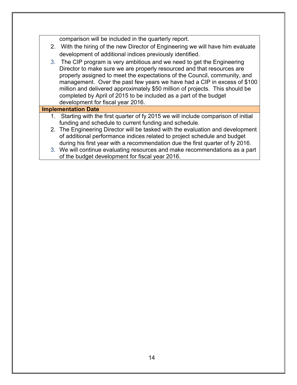comparison will be included in the quarterly report.

- 2. With the hiring of the new Director of Engineering we will have him evaluate development of additional indices previously identified.
- 3. The CIP program is very ambitious and we need to get the Engineering Director to make sure we are properly resourced and that resources are properly assigned to meet the expectations of the Council, community, and management. Over the past few years we have had a CIP in excess of \$100 million and delivered approximately \$50 million of projects. This should be completed by April of 2015 to be included as a part of the budget development for fiscal year 2016.

# **Implementation Date**

- 1. Starting with the first quarter of fy 2015 we will include comparison of initial funding and schedule to current funding and schedule.
- 2. The Engineering Director will be tasked with the evaluation and development of additional performance indices related to project schedule and budget during his first year with a recommendation due the first quarter of fy 2016.
- 3. We will continue evaluating resources and make recommendations as a part of the budget development for fiscal year 2016.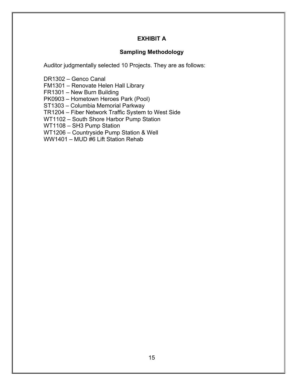# **EXHIBIT A**

# **Sampling Methodology**

Auditor judgmentally selected 10 Projects. They are as follows:

DR1302 – Genco Canal

FM1301 – Renovate Helen Hall Library

FR1301 – New Burn Building

PK0903 – Hometown Heroes Park (Pool)

ST1303 – Columbia Memorial Parkway

TR1204 – Fiber Network Traffic System to West Side

WT1102 – South Shore Harbor Pump Station

WT1108 – SH3 Pump Station

WT1206 – Countryside Pump Station & Well

WW1401 – MUD #6 Lift Station Rehab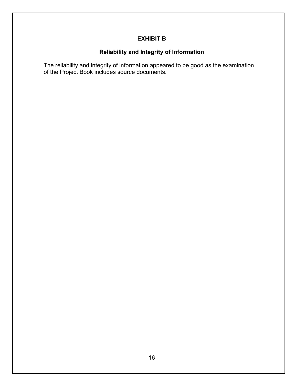# **EXHIBIT B**

# **Reliability and Integrity of Information**

The reliability and integrity of information appeared to be good as the examination of the Project Book includes source documents.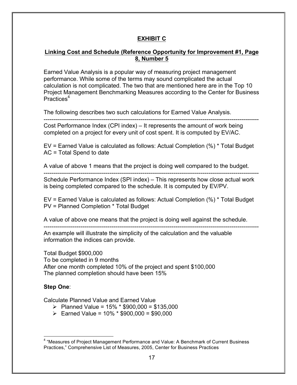# **EXHIBIT C**

## **Linking Cost and Schedule (Reference Opportunity for Improvement #1, Page 8, Number 5**

Earned Value Analysis is a popular way of measuring project management performance. While some of the terms may sound complicated the actual calculation is not complicated. The two that are mentioned here are in the Top 10 Project Management Benchmarking Measures according to the Center for Business Practices<sup>4</sup>

---------------------------------------------------------------------------------------------------------------

The following describes two such calculations for Earned Value Analysis.

Cost Performance Index (CPI index) – It represents the amount of work being completed on a project for every unit of cost spent. It is computed by EV/AC.

EV = Earned Value is calculated as follows: Actual Completion (%) \* Total Budget AC = Total Spend to date

A value of above 1 means that the project is doing well compared to the budget.

--------------------------------------------------------------------------------------------------------------- Schedule Performance Index (SPI index) – This represents how close actual work is being completed compared to the schedule. It is computed by EV/PV.

EV = Earned Value is calculated as follows: Actual Completion (%) \* Total Budget PV = Planned Completion \* Total Budget

A value of above one means that the project is doing well against the schedule.

---------------------------------------------------------------------------------------------------------------

An example will illustrate the simplicity of the calculation and the valuable information the indices can provide.

Total Budget \$900,000 To be completed in 9 months After one month completed 10% of the project and spent \$100,000 The planned completion should have been 15%

#### **Step One**:

Calculate Planned Value and Earned Value

- $\triangleright$  Planned Value = 15% \* \$900,000 = \$135,000
- $\triangleright$  Earned Value = 10% \* \$900,000 = \$90,000

 <sup>4</sup> "Measures of Project Management Performance and Value: A Benchmark of Current Business Practices," Comprehensive List of Measures, 2005, Center for Business Practices